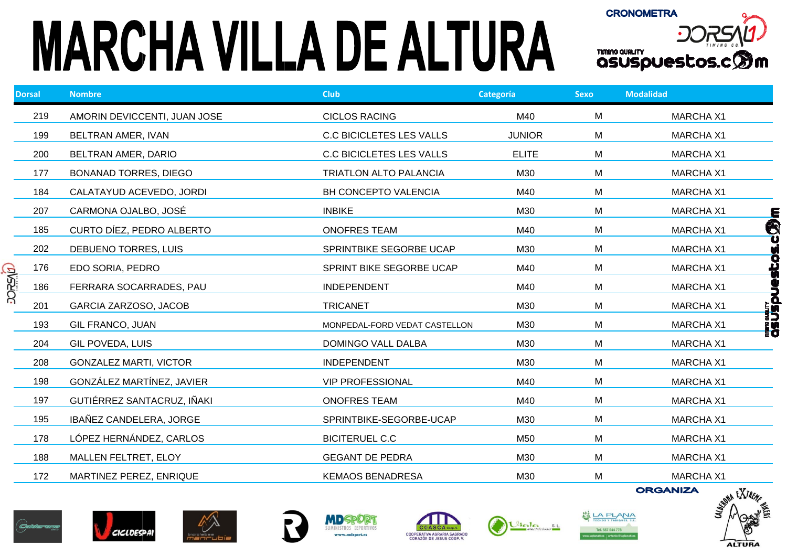## **MARCHA VILLA DE ALTURA**



|        | <b>Dorsal</b> | <b>Nombre</b>                 | <b>Club</b>                     | Categoría     | <b>Sexo</b> | <b>Modalidad</b>                      |
|--------|---------------|-------------------------------|---------------------------------|---------------|-------------|---------------------------------------|
|        | 219           | AMORIN DEVICCENTI, JUAN JOSE  | <b>CICLOS RACING</b>            | M40           | M           | <b>MARCHA X1</b>                      |
|        | 199           | BELTRAN AMER, IVAN            | <b>C.C BICICLETES LES VALLS</b> | <b>JUNIOR</b> | M           | <b>MARCHA X1</b>                      |
|        | 200           | BELTRAN AMER, DARIO           | <b>C.C BICICLETES LES VALLS</b> | <b>ELITE</b>  | M           | <b>MARCHA X1</b>                      |
|        | 177           | <b>BONANAD TORRES, DIEGO</b>  | <b>TRIATLON ALTO PALANCIA</b>   | M30           | M           | <b>MARCHA X1</b>                      |
|        | 184           | CALATAYUD ACEVEDO, JORDI      | BH CONCEPTO VALENCIA            | M40           | M           | <b>MARCHA X1</b>                      |
|        | 207           | CARMONA OJALBO, JOSÉ          | <b>INBIKE</b>                   | M30           | M           | <b>MARCHA X1</b><br><u>E</u>          |
|        | 185           | CURTO DÍEZ, PEDRO ALBERTO     | <b>ONOFRES TEAM</b>             | M40           | M           | $\bigcirc$<br><b>MARCHA X1</b>        |
|        | 202           | DEBUENO TORRES, LUIS          | SPRINTBIKE SEGORBE UCAP         | M30           | M           | <b>MARCHA X1</b>                      |
| dvaacc | 176           | EDO SORIA, PEDRO              | SPRINT BIKE SEGORBE UCAP        | M40           | M           | Ο<br>싶<br><b>MARCHA X1</b>            |
|        | 186           | FERRARA SOCARRADES, PAU       | <b>INDEPENDENT</b>              | M40           | M           | <b>MARCHA X1</b>                      |
|        | 201           | GARCIA ZARZOSO, JACOB         | <b>TRICANET</b>                 | M30           | M           | <b>MARCHA X1</b>                      |
|        | 193           | <b>GIL FRANCO, JUAN</b>       | MONPEDAL-FORD VEDAT CASTELLON   | M30           | M           | <b>TIME SUSPL</b><br><b>MARCHA X1</b> |
|        | 204           | GIL POVEDA, LUIS              | DOMINGO VALL DALBA              | M30           | M           | <b>MARCHA X1</b>                      |
|        | 208           | <b>GONZALEZ MARTI, VICTOR</b> | <b>INDEPENDENT</b>              | M30           | M           | <b>MARCHA X1</b>                      |
|        | 198           | GONZÁLEZ MARTÍNEZ, JAVIER     | <b>VIP PROFESSIONAL</b>         | M40           | M           | <b>MARCHA X1</b>                      |
|        | 197           | GUTIÉRREZ SANTACRUZ, IÑAKI    | <b>ONOFRES TEAM</b>             | M40           | M           | <b>MARCHA X1</b>                      |
|        | 195           | IBAÑEZ CANDELERA, JORGE       | SPRINTBIKE-SEGORBE-UCAP         | M30           | M           | <b>MARCHA X1</b>                      |
|        | 178           | LÓPEZ HERNÁNDEZ, CARLOS       | <b>BICITERUEL C.C</b>           | M50           | M           | <b>MARCHA X1</b>                      |
|        | 188           | MALLEN FELTRET, ELOY          | <b>GEGANT DE PEDRA</b>          | M30           | M           | <b>MARCHA X1</b>                      |
|        | 172           | MARTINEZ PEREZ, ENRIQUE       | <b>KEMAOS BENADRESA</b>         | M30           | M           | <b>MARCHA X1</b>                      |















**ORGANIZA** 

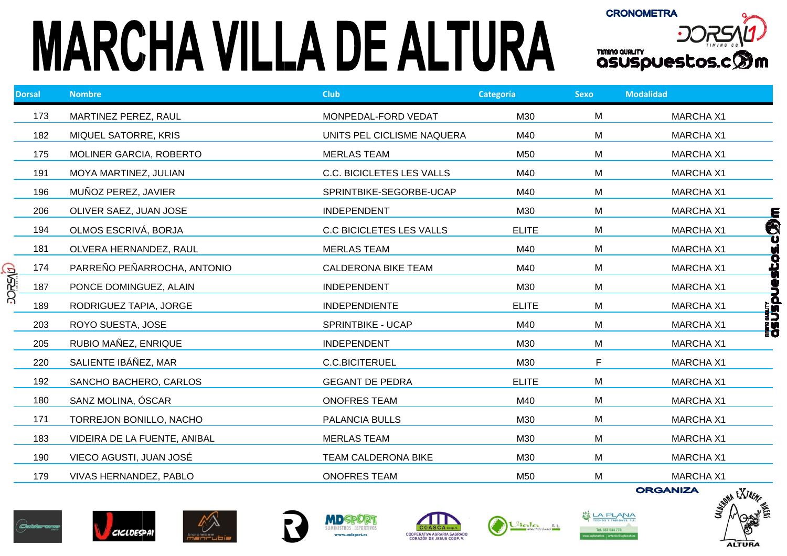## **MARCHA VILLA DE ALTURA**



|                | <b>Dorsal</b> | <b>Nombre</b>                | <b>Club</b>                      | Categoría    | <b>Sexo</b> | <b>Modalidad</b>                       |
|----------------|---------------|------------------------------|----------------------------------|--------------|-------------|----------------------------------------|
|                | 173           | MARTINEZ PEREZ, RAUL         | MONPEDAL-FORD VEDAT              | M30          | M           | <b>MARCHA X1</b>                       |
|                | 182           | MIQUEL SATORRE, KRIS         | UNITS PEL CICLISME NAQUERA       | M40          | M           | <b>MARCHA X1</b>                       |
|                | 175           | MOLINER GARCIA, ROBERTO      | <b>MERLAS TEAM</b>               | M50          | M           | <b>MARCHA X1</b>                       |
|                | 191           | MOYA MARTINEZ, JULIAN        | <b>C.C. BICICLETES LES VALLS</b> | M40          | M           | <b>MARCHA X1</b>                       |
|                | 196           | MUÑOZ PEREZ, JAVIER          | SPRINTBIKE-SEGORBE-UCAP          | M40          | M           | <b>MARCHA X1</b>                       |
|                | 206           | OLIVER SAEZ, JUAN JOSE       | <b>INDEPENDENT</b>               | M30          | M           | <b>MARCHA X1</b><br><u>Е</u>           |
|                | 194           | OLMOS ESCRIVÁ, BORJA         | <b>C.C BICICLETES LES VALLS</b>  | <b>ELITE</b> | M           | Q<br>J<br><b>MARCHA X1</b>             |
|                | 181           | OLVERA HERNANDEZ, RAUL       | <b>MERLAS TEAM</b>               | M40          | M           | <b>MARCHA X1</b>                       |
|                | 174           | PARREÑO PEÑARROCHA, ANTONIO  | <b>CALDERONA BIKE TEAM</b>       | M40          | M           | sp3e<br><b>MARCHA X1</b>               |
| <b>DOREVID</b> | 187           | PONCE DOMINGUEZ, ALAIN       | <b>INDEPENDENT</b>               | M30          | M           | <b>MARCHA X1</b>                       |
|                | 189           | RODRIGUEZ TAPIA, JORGE       | <b>INDEPENDIENTE</b>             | <b>ELITE</b> | M           | mmandin<br>QSUSDUe<br><b>MARCHA X1</b> |
|                | 203           | ROYO SUESTA, JOSE            | SPRINTBIKE - UCAP                | M40          | M           | <b>MARCHA X1</b>                       |
|                | 205           | RUBIO MAÑEZ, ENRIQUE         | <b>INDEPENDENT</b>               | M30          | М           | <b>MARCHA X1</b>                       |
|                | 220           | SALIENTE IBÁÑEZ, MAR         | <b>C.C.BICITERUEL</b>            | M30          | F.          | <b>MARCHA X1</b>                       |
|                | 192           | SANCHO BACHERO, CARLOS       | <b>GEGANT DE PEDRA</b>           | <b>ELITE</b> | M           | <b>MARCHA X1</b>                       |
|                | 180           | SANZ MOLINA, ÓSCAR           | <b>ONOFRES TEAM</b>              | M40          | M           | <b>MARCHA X1</b>                       |
|                | 171           | TORREJON BONILLO, NACHO      | PALANCIA BULLS                   | M30          | M           | <b>MARCHA X1</b>                       |
|                | 183           | VIDEIRA DE LA FUENTE, ANIBAL | <b>MERLAS TEAM</b>               | M30          | M           | <b>MARCHA X1</b>                       |
|                | 190           | VIECO AGUSTI, JUAN JOSÉ      | <b>TEAM CALDERONA BIKE</b>       | M30          | M           | <b>MARCHA X1</b>                       |
|                | 179           | VIVAS HERNANDEZ, PABLO       | <b>ONOFRES TEAM</b>              | M50          | M           | <b>MARCHA X1</b>                       |
|                |               |                              |                                  |              |             | <b>ORGANIZA</b><br>$Y_{\text{Z}}$      |